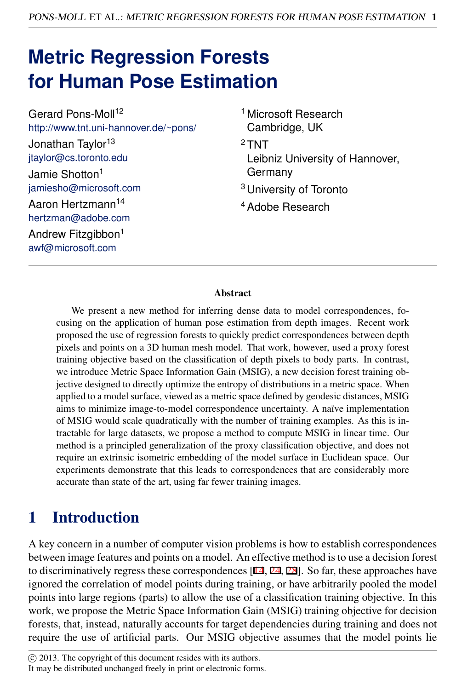# **Metric Regression Forests for Human Pose Estimation**

| Gerard Pons-Moll <sup>12</sup>                      | <sup>1</sup> Microsoft Research            |
|-----------------------------------------------------|--------------------------------------------|
| http://www.tnt.uni-hannover.de/~pons/               | Cambridge, UK                              |
| Jonathan Taylor <sup>13</sup>                       | $2$ TNT                                    |
| jtaylor@cs.toronto.edu                              | Leibniz University of Hannover,<br>Germany |
| Jamie Shotton <sup>1</sup>                          |                                            |
| jamiesho@microsoft.com                              | <sup>3</sup> University of Toronto         |
| Aaron Hertzmann <sup>14</sup><br>hertzman@adobe.com | <sup>4</sup> Adobe Research                |
| Andrew Fitzgibbon <sup>1</sup><br>awf@microsoft.com |                                            |
|                                                     |                                            |

#### **Abstract**

We present a new method for inferring dense data to model correspondences, focusing on the application of human pose estimation from depth images. Recent work proposed the use of regression forests to quickly predict correspondences between depth pixels and points on a 3D human mesh model. That work, however, used a proxy forest training objective based on the classification of depth pixels to body parts. In contrast, we introduce Metric Space Information Gain (MSIG), a new decision forest training objective designed to directly optimize the entropy of distributions in a metric space. When applied to a model surface, viewed as a metric space defined by geodesic distances, MSIG aims to minimize image-to-model correspondence uncertainty. A naïve implementation of MSIG would scale quadratically with the number of training examples. As this is intractable for large datasets, we propose a method to compute MSIG in linear time. Our method is a principled generalization of the proxy classification objective, and does not require an extrinsic isometric embedding of the model surface in Euclidean space. Our experiments demonstrate that this leads to correspondences that are considerably more accurate than state of the art, using far fewer training images.

## 1 Introduction

A key concern in a number of computer vision problems is how to establish correspondences between image features and points on a model. An effective method is to use a decision forest to discriminatively regress these correspondences [14, 24, 28]. So far, these approaches have ignored the correlation of model points during training, or have arbitrarily pooled the model points into large regions (parts) to allow the use of a classification training objective. In this work, we propose the Metric Space Information Gain (MSIG) training objective for decision forests, that, instead, naturally accounts for target dependencies during training and does not require the use of artificial parts. Our MSIG objective assumes that the model points lie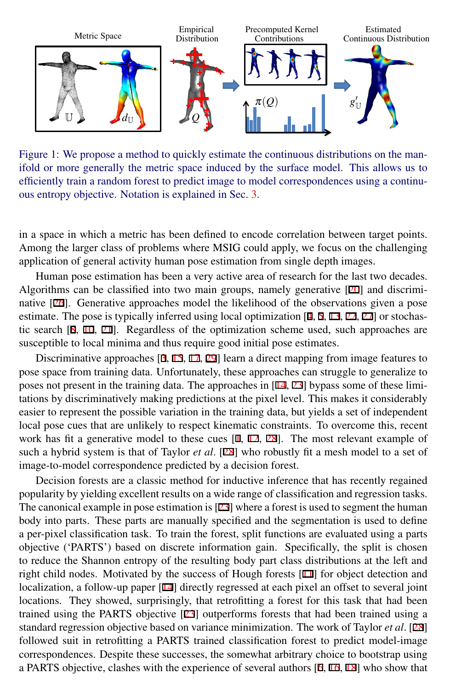

<span id="page-1-0"></span>Figure 1: We propose a method to quickly estimate the continuous distributions on the manifold or more generally the metric space induced by the surface model. This allows us to efficiently train a random forest to predict image to model correspondences using a continuous entropy objective. Notation is explained in Sec. [3.](#page-3-0)

in a space in which a metric has been defined to encode correlation between target points. Among the larger class of problems where MSIG could apply, we focus on the challenging application of general activity human pose estimation from single depth images.

Human pose estimation has been a very active area of research for the last two decades. Algorithms can be classified into two main groups, namely generative [20] and discriminative [26]. Generative approaches model the likelihood of the observations given a pose estimate. The pose is typically inferred using local optimization  $[4, 5, 13, 22, 27]$  or stochastic search [8, 10, 21]. Regardless of the optimization scheme used, such approaches are susceptible to local minima and thus require good initial pose estimates.

Discriminative approaches [3, 15, 17, 29] learn a direct mapping from image features to pose space from training data. Unfortunately, these approaches can struggle to generalize to poses not present in the training data. The approaches in [14, 23] bypass some of these limitations by discriminatively making predictions at the pixel level. This makes it considerably easier to represent the possible variation in the training data, but yields a set of independent local pose cues that are unlikely to respect kinematic constraints. To overcome this, recent work has fit a generative model to these cues  $[1, 12, 28]$ . The most relevant example of such a hybrid system is that of Taylor *et al*. [28] who robustly fit a mesh model to a set of image-to-model correspondence predicted by a decision forest.

Decision forests are a classic method for inductive inference that has recently regained popularity by yielding excellent results on a wide range of classification and regression tasks. The canonical example in pose estimation is  $[23]$  where a forest is used to segment the human body into parts. These parts are manually specified and the segmentation is used to define a per-pixel classification task. To train the forest, split functions are evaluated using a parts objective ('PARTS') based on discrete information gain. Specifically, the split is chosen to reduce the Shannon entropy of the resulting body part class distributions at the left and right child nodes. Motivated by the success of Hough forests [11] for object detection and localization, a follow-up paper [14] directly regressed at each pixel an offset to several joint locations. They showed, surprisingly, that retrofitting a forest for this task that had been trained using the PARTS objective [23] outperforms forests that had been trained using a standard regression objective based on variance minimization. The work of Taylor *et al*. [28] followed suit in retrofitting a PARTS trained classification forest to predict model-image correspondences. Despite these successes, the somewhat arbitrary choice to bootstrap using a PARTS objective, clashes with the experience of several authors [6, 16, 18] who show that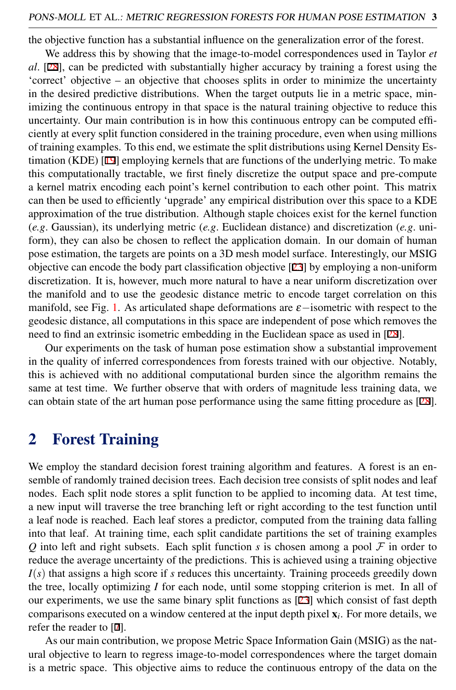the objective function has a substantial influence on the generalization error of the forest.

We address this by showing that the image-to-model correspondences used in Taylor *et al*. [28], can be predicted with substantially higher accuracy by training a forest using the 'correct' objective – an objective that chooses splits in order to minimize the uncertainty in the desired predictive distributions. When the target outputs lie in a metric space, minimizing the continuous entropy in that space is the natural training objective to reduce this uncertainty. Our main contribution is in how this continuous entropy can be computed efficiently at every split function considered in the training procedure, even when using millions of training examples. To this end, we estimate the split distributions using Kernel Density Estimation (KDE) [19] employing kernels that are functions of the underlying metric. To make this computationally tractable, we first finely discretize the output space and pre-compute a kernel matrix encoding each point's kernel contribution to each other point. This matrix can then be used to efficiently 'upgrade' any empirical distribution over this space to a KDE approximation of the true distribution. Although staple choices exist for the kernel function (*e.g*. Gaussian), its underlying metric (*e.g*. Euclidean distance) and discretization (*e.g*. uniform), they can also be chosen to reflect the application domain. In our domain of human pose estimation, the targets are points on a 3D mesh model surface. Interestingly, our MSIG objective can encode the body part classification objective [23] by employing a non-uniform discretization. It is, however, much more natural to have a near uniform discretization over the manifold and to use the geodesic distance metric to encode target correlation on this manifold, see Fig. [1.](#page-1-0) As articulated shape deformations are  $\varepsilon$ -isometric with respect to the geodesic distance, all computations in this space are independent of pose which removes the need to find an extrinsic isometric embedding in the Euclidean space as used in [28].

Our experiments on the task of human pose estimation show a substantial improvement in the quality of inferred correspondences from forests trained with our objective. Notably, this is achieved with no additional computational burden since the algorithm remains the same at test time. We further observe that with orders of magnitude less training data, we can obtain state of the art human pose performance using the same fitting procedure as [28].

#### 2 Forest Training

We employ the standard decision forest training algorithm and features. A forest is an ensemble of randomly trained decision trees. Each decision tree consists of split nodes and leaf nodes. Each split node stores a split function to be applied to incoming data. At test time, a new input will traverse the tree branching left or right according to the test function until a leaf node is reached. Each leaf stores a predictor, computed from the training data falling into that leaf. At training time, each split candidate partitions the set of training examples *Q* into left and right subsets. Each split function *s* is chosen among a pool  $\mathcal F$  in order to reduce the average uncertainty of the predictions. This is achieved using a training objective *I*(*s*) that assigns a high score if *s* reduces this uncertainty. Training proceeds greedily down the tree, locally optimizing *I* for each node, until some stopping criterion is met. In all of our experiments, we use the same binary split functions as  $[23]$  which consist of fast depth comparisons executed on a window centered at the input depth pixel x*<sup>i</sup>* . For more details, we refer the reader to [7].

As our main contribution, we propose Metric Space Information Gain (MSIG) as the natural objective to learn to regress image-to-model correspondences where the target domain is a metric space. This objective aims to reduce the continuous entropy of the data on the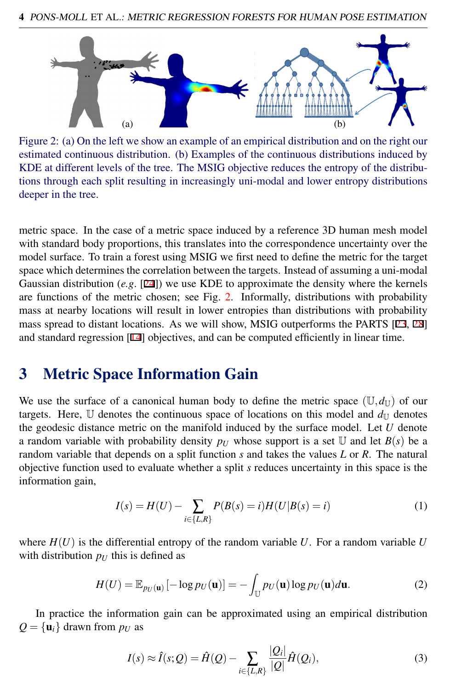

<span id="page-3-1"></span>Figure 2: (a) On the left we show an example of an empirical distribution and on the right our estimated continuous distribution. (b) Examples of the continuous distributions induced by KDE at different levels of the tree. The MSIG objective reduces the entropy of the distributions through each split resulting in increasingly uni-modal and lower entropy distributions deeper in the tree.

metric space. In the case of a metric space induced by a reference 3D human mesh model with standard body proportions, this translates into the correspondence uncertainty over the model surface. To train a forest using MSIG we first need to define the metric for the target space which determines the correlation between the targets. Instead of assuming a uni-modal Gaussian distribution (*e.g*. [24]) we use KDE to approximate the density where the kernels are functions of the metric chosen; see Fig. [2.](#page-3-1) Informally, distributions with probability mass at nearby locations will result in lower entropies than distributions with probability mass spread to distant locations. As we will show, MSIG outperforms the PARTS [23, 28] and standard regression [14] objectives, and can be computed efficiently in linear time.

#### <span id="page-3-0"></span>3 Metric Space Information Gain

We use the surface of a canonical human body to define the metric space  $(\mathbb{U}, d_{\mathbb{U}})$  of our targets. Here,  $\mathbb U$  denotes the continuous space of locations on this model and  $d_{\mathbb U}$  denotes the geodesic distance metric on the manifold induced by the surface model. Let *U* denote a random variable with probability density  $p_U$  whose support is a set U and let  $B(s)$  be a random variable that depends on a split function *s* and takes the values *L* or *R*. The natural objective function used to evaluate whether a split *s* reduces uncertainty in this space is the information gain,

<span id="page-3-2"></span>
$$
I(s) = H(U) - \sum_{i \in \{L, R\}} P(B(s) = i)H(U|B(s) = i)
$$
\n(1)

where  $H(U)$  is the differential entropy of the random variable U. For a random variable U with distribution  $p_U$  this is defined as

$$
H(U) = \mathbb{E}_{p_U(\mathbf{u})} \left[ -\log p_U(\mathbf{u}) \right] = -\int_{\mathbb{U}} p_U(\mathbf{u}) \log p_U(\mathbf{u}) d\mathbf{u}.
$$
 (2)

In practice the information gain can be approximated using an empirical distribution  $Q = {\mathbf{u}_i}$  drawn from  $p_U$  as

<span id="page-3-3"></span>
$$
I(s) \approx \hat{I}(s; Q) = \hat{H}(Q) - \sum_{i \in \{L, R\}} \frac{|Q_i|}{|Q|} \hat{H}(Q_i),
$$
\n(3)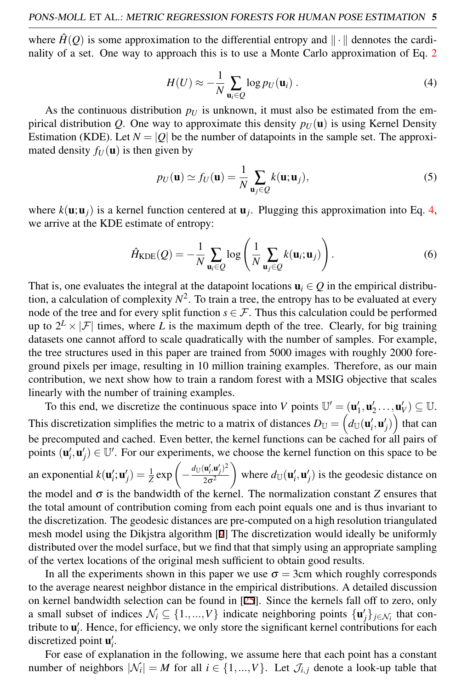<span id="page-4-0"></span>where  $\hat{H}(Q)$  is some approximation to the differential entropy and  $\|\cdot\|$  dennotes the cardinality of a set. One way to approach this is to use a Monte Carlo approximation of Eq. [2](#page-3-2)

$$
H(U) \approx -\frac{1}{N} \sum_{\mathbf{u}_i \in Q} \log p_U(\mathbf{u}_i) \tag{4}
$$

As the continuous distribution  $p<sub>U</sub>$  is unknown, it must also be estimated from the empirical distribution *Q*. One way to approximate this density  $p_U(\mathbf{u})$  is using Kernel Density Estimation (KDE). Let  $N = |Q|$  be the number of datapoints in the sample set. The approximated density  $f_U(\mathbf{u})$  is then given by

<span id="page-4-1"></span>
$$
p_U(\mathbf{u}) \simeq f_U(\mathbf{u}) = \frac{1}{N} \sum_{\mathbf{u}_j \in Q} k(\mathbf{u}; \mathbf{u}_j),
$$
 (5)

where  $k(\mathbf{u}; \mathbf{u}_j)$  is a kernel function centered at  $\mathbf{u}_j$ . Plugging this approximation into Eq. [4,](#page-4-0) we arrive at the KDE estimate of entropy:

$$
\hat{H}_{\text{KDE}}(Q) = -\frac{1}{N} \sum_{\mathbf{u}_i \in Q} \log \left( \frac{1}{N} \sum_{\mathbf{u}_j \in Q} k(\mathbf{u}_i; \mathbf{u}_j) \right). \tag{6}
$$

That is, one evaluates the integral at the datapoint locations  $\mathbf{u}_i \in Q$  in the empirical distribution, a calculation of complexity  $N^2$ . To train a tree, the entropy has to be evaluated at every node of the tree and for every split function  $s \in \mathcal{F}$ . Thus this calculation could be performed up to  $2^L \times |\mathcal{F}|$  times, where *L* is the maximum depth of the tree. Clearly, for big training datasets one cannot afford to scale quadratically with the number of samples. For example, the tree structures used in this paper are trained from 5000 images with roughly 2000 foreground pixels per image, resulting in 10 million training examples. Therefore, as our main contribution, we next show how to train a random forest with a MSIG objective that scales linearly with the number of training examples.

To this end, we discretize the continuous space into *V* points  $\mathbb{U}' = (\mathbf{u}'_1, \mathbf{u}'_2, \dots, \mathbf{u}'_V) \subseteq \mathbb{U}$ . This discretization simplifies the metric to a matrix of distances  $D_{\mathbb{U}} = \Big( d_{\mathbb{U}}(\mathbf{u}'_i, \mathbf{u}'_j) \Big)$  that can be precomputed and cached. Even better, the kernel functions can be cached for all pairs of points  $(\mathbf{u}'_i, \mathbf{u}'_j) \in \mathbb{U}'$ . For our experiments, we choose the kernel function on this space to be an exponential  $k(\mathbf{u}_i'; \mathbf{u}_j') = \frac{1}{Z} \exp\left(-\frac{d_{\mathbb{U}}(\mathbf{u}_i', \mathbf{u}_j')^2}{2\sigma^2}\right)$  $2\sigma^2$ where  $d_{\mathbb{U}}(\mathbf{u}'_i, \mathbf{u}'_j)$  is the geodesic distance on the model and  $\sigma$  is the bandwidth of the kernel. The normalization constant *Z* ensures that the total amount of contribution coming from each point equals one and is thus invariant to the discretization. The geodesic distances are pre-computed on a high resolution triangulated mesh model using the Dikjstra algorithm [9] The discretization would ideally be uniformly distributed over the model surface, but we find that that simply using an appropriate sampling of the vertex locations of the original mesh sufficient to obtain good results.

In all the experiments shown in this paper we use  $\sigma = 3$ cm which roughly corresponds to the average nearest neighbor distance in the empirical distributions. A detailed discussion on kernel bandwidth selection can be found in [25]. Since the kernels fall off to zero, only a small subset of indices  $\mathcal{N}_i \subseteq \{1, ..., V\}$  indicate neighboring points  $\{\mathbf{u}'_j\}_{j \in \mathcal{N}_i}$  that contribute to  $\mathbf{u}'_i$ . Hence, for efficiency, we only store the significant kernel contributions for each discretized point  $\mathbf{u}'_i$ .

For ease of explanation in the following, we assume here that each point has a constant number of neighbors  $|\mathcal{N}_i| = M$  for all  $i \in \{1, ..., V\}$ . Let  $\mathcal{J}_{i,j}$  denote a look-up table that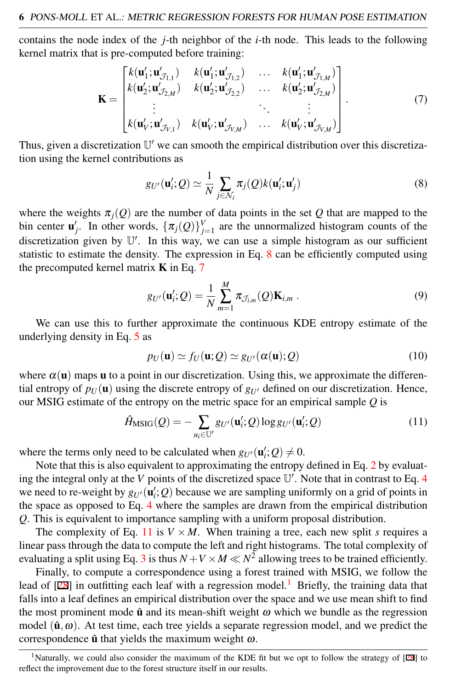contains the node index of the *j*-th neighbor of the *i*-th node. This leads to the following kernel matrix that is pre-computed before training:

<span id="page-5-1"></span>
$$
\mathbf{K} = \begin{bmatrix} k(\mathbf{u}'_1; \mathbf{u}'_{\mathcal{J}_{1,1}}) & k(\mathbf{u}'_1; \mathbf{u}'_{\mathcal{J}_{1,2}}) & \dots & k(\mathbf{u}'_1; \mathbf{u}'_{\mathcal{J}_{1,M}}) \\ k(\mathbf{u}'_2; \mathbf{u}'_{\mathcal{J}_{2,M}}) & k(\mathbf{u}'_2; \mathbf{u}'_{\mathcal{J}_{2,2}}) & \dots & k(\mathbf{u}'_2; \mathbf{u}'_{\mathcal{J}_{2,M}}) \\ \vdots & \vdots & \ddots & \vdots \\ k(\mathbf{u}'_V; \mathbf{u}'_{\mathcal{J}_{V,1}}) & k(\mathbf{u}'_V; \mathbf{u}'_{\mathcal{J}_{V,M}}) & \dots & k(\mathbf{u}'_V; \mathbf{u}'_{\mathcal{J}_{V,M}}) \end{bmatrix} . \tag{7}
$$

Thus, given a discretization  $\mathbb{U}'$  we can smooth the empirical distribution over this discretization using the kernel contributions as

<span id="page-5-0"></span>
$$
g_{U'}(\mathbf{u}'_i; Q) \simeq \frac{1}{N} \sum_{j \in \mathcal{N}_i} \pi_j(Q) k(\mathbf{u}'_i; \mathbf{u}'_j)
$$
(8)

where the weights  $\pi_j(Q)$  are the number of data points in the set Q that are mapped to the bin center  $\mathbf{u}'_j$ . In other words,  $\{\pi_j(Q)\}_{j=1}^V$  are the unnormalized histogram counts of the discretization given by U'. In this way, we can use a simple histogram as our sufficient statistic to estimate the density. The expression in Eq. [8](#page-5-0) can be efficiently computed using the precomputed kernel matrix  $K$  in Eq. [7](#page-5-1)

$$
g_{U'}(\mathbf{u}'_i;Q) = \frac{1}{N} \sum_{m=1}^{M} \pi_{\mathcal{J}_{i,m}}(Q) \mathbf{K}_{i,m} .
$$
\n(9)

We can use this to further approximate the continuous KDE entropy estimate of the underlying density in Eq. [5](#page-4-1) as

<span id="page-5-2"></span>
$$
p_U(\mathbf{u}) \simeq f_U(\mathbf{u}; \mathcal{Q}) \simeq g_{U'}(\alpha(\mathbf{u}); \mathcal{Q})
$$
\n(10)

where  $\alpha(\mathbf{u})$  maps **u** to a point in our discretization. Using this, we approximate the differential entropy of  $p_U(\mathbf{u})$  using the discrete entropy of  $g_{U'}$  defined on our discretization. Hence, our MSIG estimate of the entropy on the metric space for an empirical sample *Q* is

$$
\hat{H}_{\text{MSIG}}(Q) = -\sum_{u_i \in \mathbb{U}'} g_{U'}(\mathbf{u}'_i; Q) \log g_{U'}(\mathbf{u}'_i; Q) \tag{11}
$$

where the terms only need to be calculated when  $g_{U'}(\mathbf{u}'_i; Q) \neq 0$ .

Note that this is also equivalent to approximating the entropy defined in Eq. [2](#page-3-2) by evaluating the integral only at the  $V$  points of the discretized space  $\mathbb{U}'$ . Note that in contrast to Eq. [4](#page-4-0) we need to re-weight by  $g_{U'}(\mathbf{u}'_i; Q)$  because we are sampling uniformly on a grid of points in the space as opposed to Eq. [4](#page-4-0) where the samples are drawn from the empirical distribution *Q*. This is equivalent to importance sampling with a uniform proposal distribution.

The complexity of Eq. [11](#page-5-2) is  $V \times M$ . When training a tree, each new split *s* requires a linear pass through the data to compute the left and right histograms. The total complexity of evaluating a split using Eq. [3](#page-3-3) is thus  $N + V \times M \ll N^2$  allowing trees to be trained efficiently.

Finally, to compute a correspondence using a forest trained with MSIG, we follow the lead of  $[28]$  in outfitting each leaf with a regression model.<sup>[1](#page-5-3)</sup> Briefly, the training data that falls into a leaf defines an empirical distribution over the space and we use mean shift to find the most prominent mode  $\hat{u}$  and its mean-shift weight  $\omega$  which we bundle as the regression model  $(\hat{\mathbf{u}}, \omega)$ . At test time, each tree yields a separate regression model, and we predict the correspondence  $\hat{u}$  that yields the maximum weight  $\omega$ .

<span id="page-5-3"></span><sup>&</sup>lt;sup>1</sup>Naturally, we could also consider the maximum of the KDE fit but we opt to follow the strategy of [28] to reflect the improvement due to the forest structure itself in our results.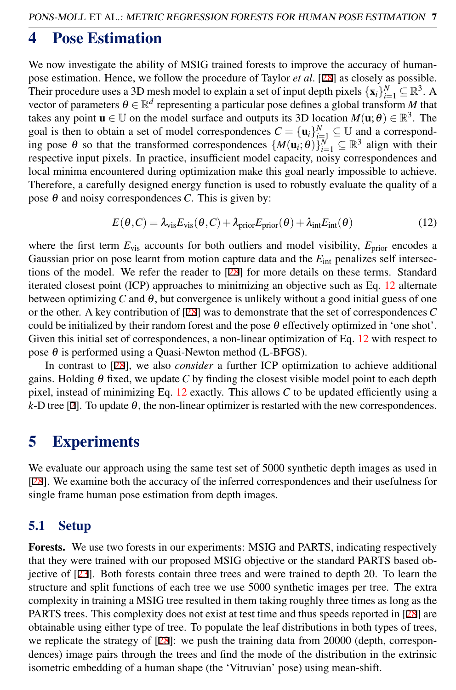## <span id="page-6-1"></span>4 Pose Estimation

We now investigate the ability of MSIG trained forests to improve the accuracy of humanpose estimation. Hence, we follow the procedure of Taylor *et al*. [28] as closely as possible. Their procedure uses a 3D mesh model to explain a set of input depth pixels  $\{x_i\}_{i=1}^N \subseteq \mathbb{R}^3$ . A vector of parameters  $\theta \in \mathbb{R}^d$  representing a particular pose defines a global transform *M* that takes any point  $\mathbf{u} \in \mathbb{U}$  on the model surface and outputs its 3D location  $M(\mathbf{u}; \theta) \in \mathbb{R}^3$ . The goal is then to obtain a set of model correspondences  $C = {\mathbf{u}_i}_{i=1}^N \subseteq U$  and a corresponding pose  $\theta$  so that the transformed correspondences  $\{M(\mathbf{u}_i;\theta)\}_{i=1}^N \subseteq \mathbb{R}^3$  align with their respective input pixels. In practice, insufficient model capacity, noisy correspondences and local minima encountered during optimization make this goal nearly impossible to achieve. Therefore, a carefully designed energy function is used to robustly evaluate the quality of a pose  $\theta$  and noisy correspondences *C*. This is given by:

<span id="page-6-0"></span>
$$
E(\theta, C) = \lambda_{\text{vis}} E_{\text{vis}}(\theta, C) + \lambda_{\text{prior}} E_{\text{prior}}(\theta) + \lambda_{\text{int}} E_{\text{int}}(\theta)
$$
 (12)

where the first term  $E_{\text{vis}}$  accounts for both outliers and model visibility,  $E_{\text{prior}}$  encodes a Gaussian prior on pose learnt from motion capture data and the  $E_{int}$  penalizes self intersections of the model. We refer the reader to [28] for more details on these terms. Standard iterated closest point (ICP) approaches to minimizing an objective such as Eq. [12](#page-6-0) alternate between optimizing *C* and  $\theta$ , but convergence is unlikely without a good initial guess of one or the other. A key contribution of [28] was to demonstrate that the set of correspondences *C* could be initialized by their random forest and the pose  $\theta$  effectively optimized in 'one shot'. Given this initial set of correspondences, a non-linear optimization of Eq. [12](#page-6-0) with respect to pose  $\theta$  is performed using a Quasi-Newton method (L-BFGS).

In contrast to [28], we also *consider* a further ICP optimization to achieve additional gains. Holding θ fixed, we update *C* by finding the closest visible model point to each depth pixel, instead of minimizing Eq. [12](#page-6-0) exactly. This allows *C* to be updated efficiently using a  $k$ -D tree [2]. To update  $\theta$ , the non-linear optimizer is restarted with the new correspondences.

### 5 Experiments

We evaluate our approach using the same test set of 5000 synthetic depth images as used in [28]. We examine both the accuracy of the inferred correspondences and their usefulness for single frame human pose estimation from depth images.

#### 5.1 Setup

Forests. We use two forests in our experiments: MSIG and PARTS, indicating respectively that they were trained with our proposed MSIG objective or the standard PARTS based objective of [23]. Both forests contain three trees and were trained to depth 20. To learn the structure and split functions of each tree we use 5000 synthetic images per tree. The extra complexity in training a MSIG tree resulted in them taking roughly three times as long as the PARTS trees. This complexity does not exist at test time and thus speeds reported in [28] are obtainable using either type of tree. To populate the leaf distributions in both types of trees, we replicate the strategy of [28]: we push the training data from 20000 (depth, correspondences) image pairs through the trees and find the mode of the distribution in the extrinsic isometric embedding of a human shape (the 'Vitruvian' pose) using mean-shift.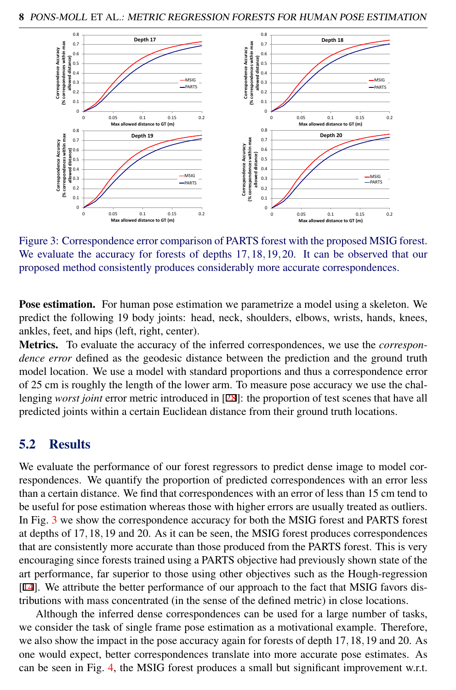

<span id="page-7-0"></span>Figure 3: Correspondence error comparison of PARTS forest with the proposed MSIG forest. We evaluate the accuracy for forests of depths 17, 18, 19, 20. It can be observed that our proposed method consistently produces considerably more accurate correspondences.

Pose estimation. For human pose estimation we parametrize a model using a skeleton. We predict the following 19 body joints: head, neck, shoulders, elbows, wrists, hands, knees, ankles, feet, and hips (left, right, center).

Metrics. To evaluate the accuracy of the inferred correspondences, we use the *correspondence error* defined as the geodesic distance between the prediction and the ground truth model location. We use a model with standard proportions and thus a correspondence error of 25 cm is roughly the length of the lower arm. To measure pose accuracy we use the challenging *worst joint* error metric introduced in [28]: the proportion of test scenes that have all predicted joints within a certain Euclidean distance from their ground truth locations.

#### 5.2 Results

We evaluate the performance of our forest regressors to predict dense image to model correspondences. We quantify the proportion of predicted correspondences with an error less than a certain distance. We find that correspondences with an error of less than 15 cm tend to be useful for pose estimation whereas those with higher errors are usually treated as outliers. In Fig. [3](#page-7-0) we show the correspondence accuracy for both the MSIG forest and PARTS forest at depths of 17,18,19 and 20. As it can be seen, the MSIG forest produces correspondences that are consistently more accurate than those produced from the PARTS forest. This is very encouraging since forests trained using a PARTS objective had previously shown state of the art performance, far superior to those using other objectives such as the Hough-regression [14]. We attribute the better performance of our approach to the fact that MSIG favors distributions with mass concentrated (in the sense of the defined metric) in close locations.

Although the inferred dense correspondences can be used for a large number of tasks, we consider the task of single frame pose estimation as a motivational example. Therefore, we also show the impact in the pose accuracy again for forests of depth 17,18,19 and 20. As one would expect, better correspondences translate into more accurate pose estimates. As can be seen in Fig. [4,](#page-8-0) the MSIG forest produces a small but significant improvement w.r.t.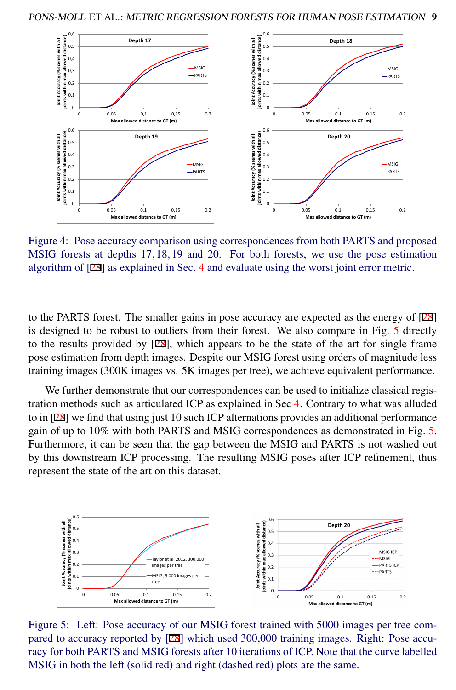

<span id="page-8-0"></span>Figure 4: Pose accuracy comparison using correspondences from both PARTS and proposed MSIG forests at depths 17,18,19 and 20. For both forests, we use the pose estimation algorithm of [28] as explained in Sec. [4](#page-6-1) and evaluate using the worst joint error metric.

to the PARTS forest. The smaller gains in pose accuracy are expected as the energy of [28] is designed to be robust to outliers from their forest. We also compare in Fig. [5](#page-8-1) directly to the results provided by  $[28]$ , which appears to be the state of the art for single frame pose estimation from depth images. Despite our MSIG forest using orders of magnitude less training images (300K images vs. 5K images per tree), we achieve equivalent performance.

We further demonstrate that our correspondences can be used to initialize classical registration methods such as articulated ICP as explained in Sec [4.](#page-6-1) Contrary to what was alluded to in [28] we find that using just 10 such ICP alternations provides an additional performance gain of up to 10% with both PARTS and MSIG correspondences as demonstrated in Fig. [5.](#page-8-1) Furthermore, it can be seen that the gap between the MSIG and PARTS is not washed out by this downstream ICP processing. The resulting MSIG poses after ICP refinement, thus represent the state of the art on this dataset.



<span id="page-8-1"></span>Figure 5: Left: Pose accuracy of our MSIG forest trained with 5000 images per tree compared to accuracy reported by [28] which used 300,000 training images. Right: Pose accuracy for both PARTS and MSIG forests after 10 iterations of ICP. Note that the curve labelled MSIG in both the left (solid red) and right (dashed red) plots are the same.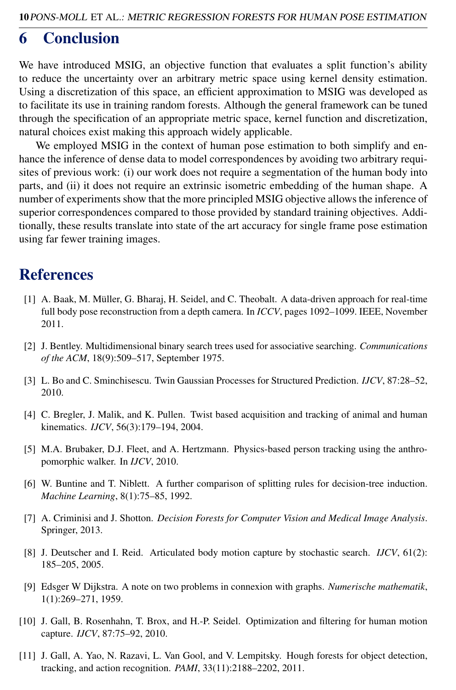### 6 Conclusion

We have introduced MSIG, an objective function that evaluates a split function's ability to reduce the uncertainty over an arbitrary metric space using kernel density estimation. Using a discretization of this space, an efficient approximation to MSIG was developed as to facilitate its use in training random forests. Although the general framework can be tuned through the specification of an appropriate metric space, kernel function and discretization, natural choices exist making this approach widely applicable.

We employed MSIG in the context of human pose estimation to both simplify and enhance the inference of dense data to model correspondences by avoiding two arbitrary requisites of previous work: (i) our work does not require a segmentation of the human body into parts, and (ii) it does not require an extrinsic isometric embedding of the human shape. A number of experiments show that the more principled MSIG objective allows the inference of superior correspondences compared to those provided by standard training objectives. Additionally, these results translate into state of the art accuracy for single frame pose estimation using far fewer training images.

## References

- [1] A. Baak, M. Müller, G. Bharaj, H. Seidel, and C. Theobalt. A data-driven approach for real-time full body pose reconstruction from a depth camera. In *ICCV*, pages 1092–1099. IEEE, November 2011.
- [2] J. Bentley. Multidimensional binary search trees used for associative searching. *Communications of the ACM*, 18(9):509–517, September 1975.
- [3] L. Bo and C. Sminchisescu. Twin Gaussian Processes for Structured Prediction. *IJCV*, 87:28–52, 2010.
- [4] C. Bregler, J. Malik, and K. Pullen. Twist based acquisition and tracking of animal and human kinematics. *IJCV*, 56(3):179–194, 2004.
- [5] M.A. Brubaker, D.J. Fleet, and A. Hertzmann. Physics-based person tracking using the anthropomorphic walker. In *IJCV*, 2010.
- [6] W. Buntine and T. Niblett. A further comparison of splitting rules for decision-tree induction. *Machine Learning*, 8(1):75–85, 1992.
- [7] A. Criminisi and J. Shotton. *Decision Forests for Computer Vision and Medical Image Analysis*. Springer, 2013.
- [8] J. Deutscher and I. Reid. Articulated body motion capture by stochastic search. *IJCV*, 61(2): 185–205, 2005.
- [9] Edsger W Dijkstra. A note on two problems in connexion with graphs. *Numerische mathematik*, 1(1):269–271, 1959.
- [10] J. Gall, B. Rosenhahn, T. Brox, and H.-P. Seidel. Optimization and filtering for human motion capture. *IJCV*, 87:75–92, 2010.
- [11] J. Gall, A. Yao, N. Razavi, L. Van Gool, and V. Lempitsky. Hough forests for object detection, tracking, and action recognition. *PAMI*, 33(11):2188–2202, 2011.